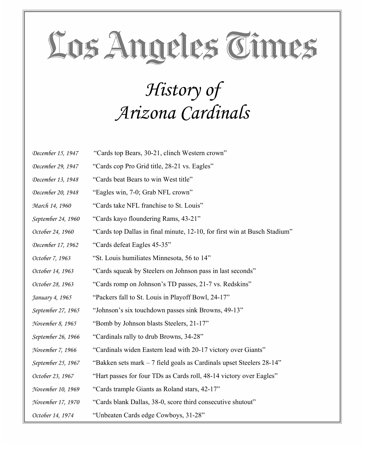#### *History of Arizona Cardinals*

| December 15, 1947  | "Cards top Bears, 30-21, clinch Western crown"                            |
|--------------------|---------------------------------------------------------------------------|
| December 29, 1947  | "Cards cop Pro Grid title, 28-21 vs. Eagles"                              |
| December 13, 1948  | "Cards beat Bears to win West title"                                      |
| December 20, 1948  | "Eagles win, 7-0; Grab NFL crown"                                         |
| March 14, 1960     | "Cards take NFL franchise to St. Louis"                                   |
| September 24, 1960 | "Cards kayo floundering Rams, 43-21"                                      |
| October 24, 1960   | "Cards top Dallas in final minute, 12-10, for first win at Busch Stadium" |
| December 17, 1962  | "Cards defeat Eagles 45-35"                                               |
| October 7, 1963    | "St. Louis humiliates Minnesota, 56 to 14"                                |
| October 14, 1963   | "Cards squeak by Steelers on Johnson pass in last seconds"                |
| October 28, 1963   | "Cards romp on Johnson's TD passes, 21-7 vs. Redskins"                    |
| January 4, 1965    | "Packers fall to St. Louis in Playoff Bowl, 24-17"                        |
| September 27, 1965 | "Johnson's six touchdown passes sink Browns, 49-13"                       |
| November 8, 1965   | "Bomb by Johnson blasts Steelers, 21-17"                                  |
| September 26, 1966 | "Cardinals rally to drub Browns, 34-28"                                   |
| November 7, 1966   | "Cardinals widen Eastern lead with 20-17 victory over Giants"             |
| September 25, 1967 | "Bakken sets mark $-7$ field goals as Cardinals upset Steelers 28-14"     |
| October 23, 1967   | "Hart passes for four TDs as Cards roll, 48-14 victory over Eagles"       |
| November 10, 1969  | "Cards trample Giants as Roland stars, 42-17"                             |
| November 17, 1970  | "Cards blank Dallas, 38-0, score third consecutive shutout"               |
| October 14, 1974   | "Unbeaten Cards edge Cowboys, 31-28"                                      |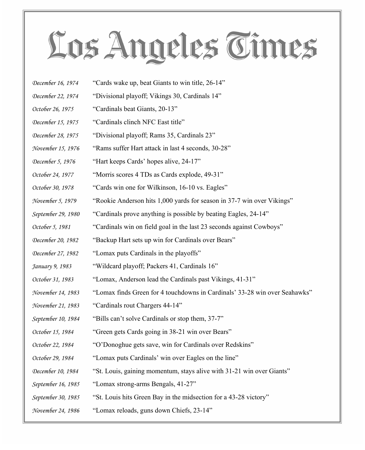- *December 16, 1974* "Cards wake up, beat Giants to win title, 26-14"
- *December 22, 1974* "Divisional playoff; Vikings 30, Cardinals 14"
- *October 26, 1975* "Cardinals beat Giants, 20-13"
- *December 15, 1975* "Cardinals clinch NFC East title"
- *December 28, 1975* "Divisional playoff; Rams 35, Cardinals 23"
- *November 15, 1976* "Rams suffer Hart attack in last 4 seconds, 30-28"
- *December 5, 1976* "Hart keeps Cards' hopes alive, 24-17"
- *October 24, 1977* "Morris scores 4 TDs as Cards explode, 49-31"
- *October 30, 1978* "Cards win one for Wilkinson, 16-10 vs. Eagles"
- *November 5, 1979* "Rookie Anderson hits 1,000 yards for season in 37-7 win over Vikings"
- *September 29, 1980* "Cardinals prove anything is possible by beating Eagles, 24-14"
- *October 5, 1981* "Cardinals win on field goal in the last 23 seconds against Cowboys"
- *December 20, 1982* "Backup Hart sets up win for Cardinals over Bears"
- *December 27, 1982* "Lomax puts Cardinals in the playoffs"
- *January 9, 1983* "Wildcard playoff; Packers 41, Cardinals 16"
- *October 31, 1983* "Lomax, Anderson lead the Cardinals past Vikings, 41-31"
- *November 14, 1983* "Lomax finds Green for 4 touchdowns in Cardinals' 33-28 win over Seahawks"
- *November 21, 1983* "Cardinals rout Chargers 44-14"
- *September 10, 1984* "Bills can't solve Cardinals or stop them, 37-7"
- *October 15, 1984* "Green gets Cards going in 38-21 win over Bears"
- *October 22, 1984* "O'Donoghue gets save, win for Cardinals over Redskins"
- *October 29, 1984* "Lomax puts Cardinals' win over Eagles on the line"
- *December 10, 1984* "St. Louis, gaining momentum, stays alive with 31-21 win over Giants"
- *September 16, 1985* "Lomax strong-arms Bengals, 41-27"
- *September 30, 1985* "St. Louis hits Green Bay in the midsection for a 43-28 victory"
- *November 24, 1986* "Lomax reloads, guns down Chiefs, 23-14"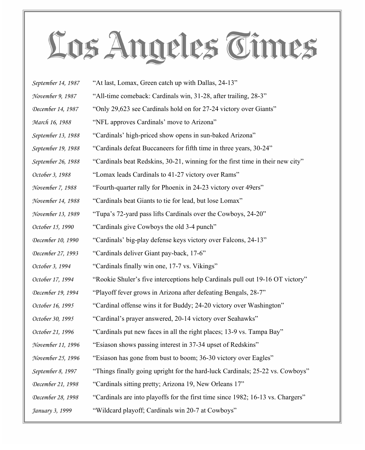| September 14, 1987 | "At last, Lomax, Green catch up with Dallas, 24-13"                             |
|--------------------|---------------------------------------------------------------------------------|
| November 9, 1987   | "All-time comeback: Cardinals win, 31-28, after trailing, 28-3"                 |
| December 14, 1987  | "Only 29,623 see Cardinals hold on for 27-24 victory over Giants"               |
| March 16, 1988     | "NFL approves Cardinals' move to Arizona"                                       |
| September 13, 1988 | "Cardinals' high-priced show opens in sun-baked Arizona"                        |
| September 19, 1988 | "Cardinals defeat Buccaneers for fifth time in three years, 30-24"              |
| September 26, 1988 | "Cardinals beat Redskins, 30-21, winning for the first time in their new city"  |
| October 3, 1988    | "Lomax leads Cardinals to 41-27 victory over Rams"                              |
| November 7, 1988   | "Fourth-quarter rally for Phoenix in 24-23 victory over 49ers"                  |
| November 14, 1988  | "Cardinals beat Giants to tie for lead, but lose Lomax"                         |
| November 13, 1989  | "Tupa's 72-yard pass lifts Cardinals over the Cowboys, 24-20"                   |
| October 15, 1990   | "Cardinals give Cowboys the old 3-4 punch"                                      |
| December 10, 1990  | "Cardinals' big-play defense keys victory over Falcons, 24-13"                  |
| December 27, 1993  | "Cardinals deliver Giant pay-back, 17-6"                                        |
| October 3, 1994    | "Cardinals finally win one, 17-7 vs. Vikings"                                   |
| October 17, 1994   | "Rookie Shuler's five interceptions help Cardinals pull out 19-16 OT victory"   |
| December 19, 1994  | "Playoff fever grows in Arizona after defeating Bengals, 28-7"                  |
| October 16, 1995   | "Cardinal offense wins it for Buddy; 24-20 victory over Washington"             |
| October 30, 1995   | "Cardinal's prayer answered, 20-14 victory over Seahawks"                       |
| October 21, 1996   | "Cardinals put new faces in all the right places; 13-9 vs. Tampa Bay"           |
| November 11, 1996  | "Esiason shows passing interest in 37-34 upset of Redskins"                     |
| November 25, 1996  | "Esiason has gone from bust to boom; 36-30 victory over Eagles"                 |
| September 8, 1997  | "Things finally going upright for the hard-luck Cardinals; 25-22 vs. Cowboys"   |
| December 21, 1998  | "Cardinals sitting pretty; Arizona 19, New Orleans 17"                          |
| December 28, 1998  | "Cardinals are into playoffs for the first time since 1982; 16-13 vs. Chargers" |
| January 3, 1999    | "Wildcard playoff; Cardinals win 20-7 at Cowboys"                               |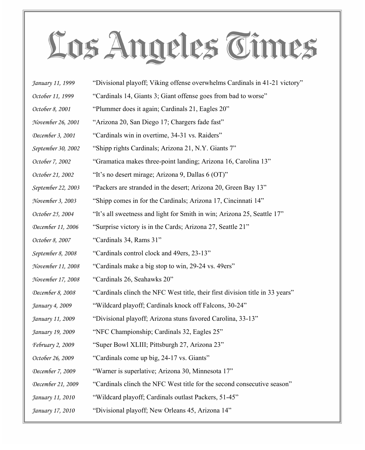| January 11, 1999        | "Divisional playoff; Viking offense overwhelms Cardinals in 41-21 victory"    |
|-------------------------|-------------------------------------------------------------------------------|
| October 11, 1999        | "Cardinals 14, Giants 3; Giant offense goes from bad to worse"                |
| October 8, 2001         | "Plummer does it again; Cardinals 21, Eagles 20"                              |
| November 26, 2001       | "Arizona 20, San Diego 17; Chargers fade fast"                                |
| December 3, 2001        | "Cardinals win in overtime, 34-31 vs. Raiders"                                |
| September 30, 2002      | "Shipp rights Cardinals; Arizona 21, N.Y. Giants 7"                           |
| October 7, 2002         | "Gramatica makes three-point landing; Arizona 16, Carolina 13"                |
| October 21, 2002        | "It's no desert mirage; Arizona 9, Dallas 6 (OT)"                             |
| September 22, 2003      | "Packers are stranded in the desert; Arizona 20, Green Bay 13"                |
| November 3, 2003        | "Shipp comes in for the Cardinals; Arizona 17, Cincinnati 14"                 |
| October 25, 2004        | "It's all sweetness and light for Smith in win; Arizona 25, Seattle 17"       |
| December 11, 2006       | "Surprise victory is in the Cards; Arizona 27, Seattle 21"                    |
| October 8, 2007         | "Cardinals 34, Rams 31"                                                       |
| September 8, 2008       | "Cardinals control clock and 49ers, 23-13"                                    |
| November 11, 2008       | "Cardinals make a big stop to win, 29-24 vs. 49ers"                           |
| November 17, 2008       | "Cardinals 26, Seahawks 20"                                                   |
| December 8, 2008        | "Cardinals clinch the NFC West title, their first division title in 33 years" |
| January 4, 2009         | "Wildcard playoff; Cardinals knock off Falcons, 30-24"                        |
| January 11, 2009        | "Divisional playoff; Arizona stuns favored Carolina, 33-13"                   |
| January 19, 2009        | "NFC Championship; Cardinals 32, Eagles 25"                                   |
| <i>February 2, 2009</i> | "Super Bowl XLIII; Pittsburgh 27, Arizona 23"                                 |
| October 26, 2009        | "Cardinals come up big, 24-17 vs. Giants"                                     |
| December 7, 2009        | "Warner is superlative; Arizona 30, Minnesota 17"                             |
| December 21, 2009       | "Cardinals clinch the NFC West title for the second consecutive season"       |
| January 11, 2010        | "Wildcard playoff; Cardinals outlast Packers, 51-45"                          |
| January 17, 2010        | "Divisional playoff; New Orleans 45, Arizona 14"                              |